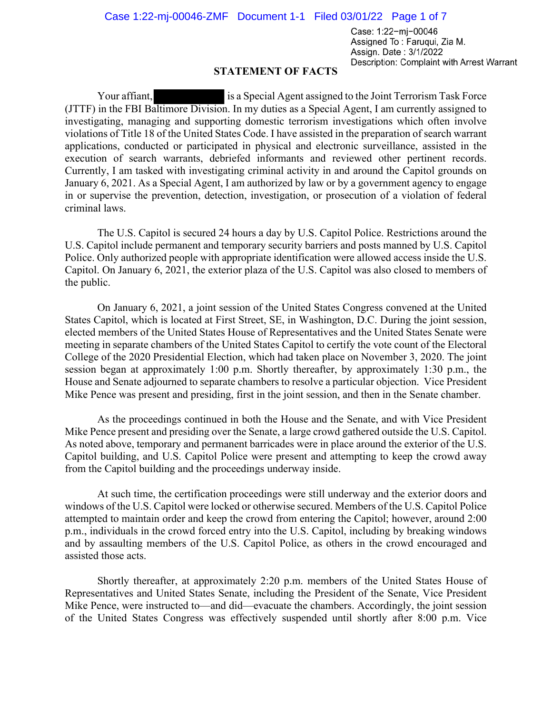Case: 1:22-mj-00046 Assigned To: Faruqui, Zia M. Assign. Date: 3/1/2022 Description: Complaint with Arrest Warrant

## **STATEMENT OF FACTS**

Your affiant, is a Special Agent assigned to the Joint Terrorism Task Force (JTTF) in the FBI Baltimore Division. In my duties as a Special Agent, I am currently assigned to investigating, managing and supporting domestic terrorism investigations which often involve violations of Title 18 of the United States Code. I have assisted in the preparation of search warrant applications, conducted or participated in physical and electronic surveillance, assisted in the execution of search warrants, debriefed informants and reviewed other pertinent records. Currently, I am tasked with investigating criminal activity in and around the Capitol grounds on January 6, 2021. As a Special Agent, I am authorized by law or by a government agency to engage in or supervise the prevention, detection, investigation, or prosecution of a violation of federal criminal laws.

The U.S. Capitol is secured 24 hours a day by U.S. Capitol Police. Restrictions around the U.S. Capitol include permanent and temporary security barriers and posts manned by U.S. Capitol Police. Only authorized people with appropriate identification were allowed access inside the U.S. Capitol. On January 6, 2021, the exterior plaza of the U.S. Capitol was also closed to members of the public.

On January 6, 2021, a joint session of the United States Congress convened at the United States Capitol, which is located at First Street, SE, in Washington, D.C. During the joint session, elected members of the United States House of Representatives and the United States Senate were meeting in separate chambers of the United States Capitol to certify the vote count of the Electoral College of the 2020 Presidential Election, which had taken place on November 3, 2020. The joint session began at approximately 1:00 p.m. Shortly thereafter, by approximately 1:30 p.m., the House and Senate adjourned to separate chambers to resolve a particular objection. Vice President Mike Pence was present and presiding, first in the joint session, and then in the Senate chamber.

As the proceedings continued in both the House and the Senate, and with Vice President Mike Pence present and presiding over the Senate, a large crowd gathered outside the U.S. Capitol. As noted above, temporary and permanent barricades were in place around the exterior of the U.S. Capitol building, and U.S. Capitol Police were present and attempting to keep the crowd away from the Capitol building and the proceedings underway inside.

At such time, the certification proceedings were still underway and the exterior doors and windows of the U.S. Capitol were locked or otherwise secured. Members of the U.S. Capitol Police attempted to maintain order and keep the crowd from entering the Capitol; however, around 2:00 p.m., individuals in the crowd forced entry into the U.S. Capitol, including by breaking windows and by assaulting members of the U.S. Capitol Police, as others in the crowd encouraged and assisted those acts.

Shortly thereafter, at approximately 2:20 p.m. members of the United States House of Representatives and United States Senate, including the President of the Senate, Vice President Mike Pence, were instructed to—and did—evacuate the chambers. Accordingly, the joint session of the United States Congress was effectively suspended until shortly after 8:00 p.m. Vice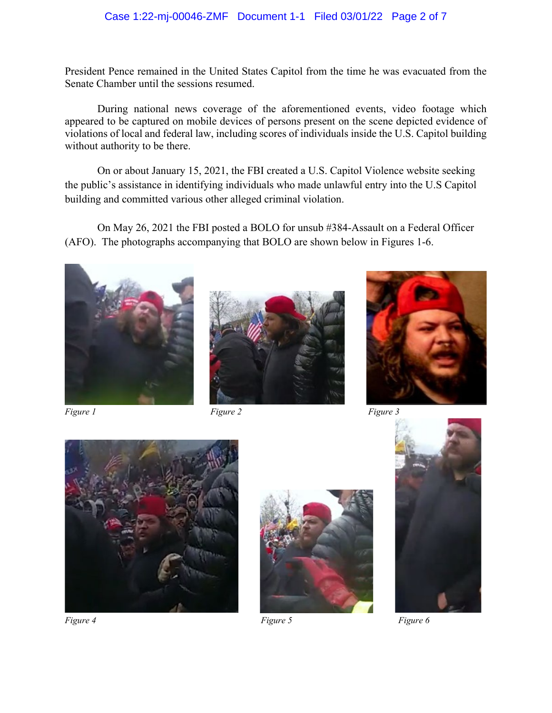## Case 1:22-mj-00046-ZMF Document 1-1 Filed 03/01/22 Page 2 of 7

President Pence remained in the United States Capitol from the time he was evacuated from the Senate Chamber until the sessions resumed.

During national news coverage of the aforementioned events, video footage which appeared to be captured on mobile devices of persons present on the scene depicted evidence of violations of local and federal law, including scores of individuals inside the U.S. Capitol building without authority to be there.

On or about January 15, 2021, the FBI created a U.S. Capitol Violence website seeking the public's assistance in identifying individuals who made unlawful entry into the U.S Capitol building and committed various other alleged criminal violation.

On May 26, 2021 the FBI posted a BOLO for unsub #384-Assault on a Federal Officer (AFO). The photographs accompanying that BOLO are shown below in Figures 1-6.







*Figure 1 Figure 2 Figure 3*







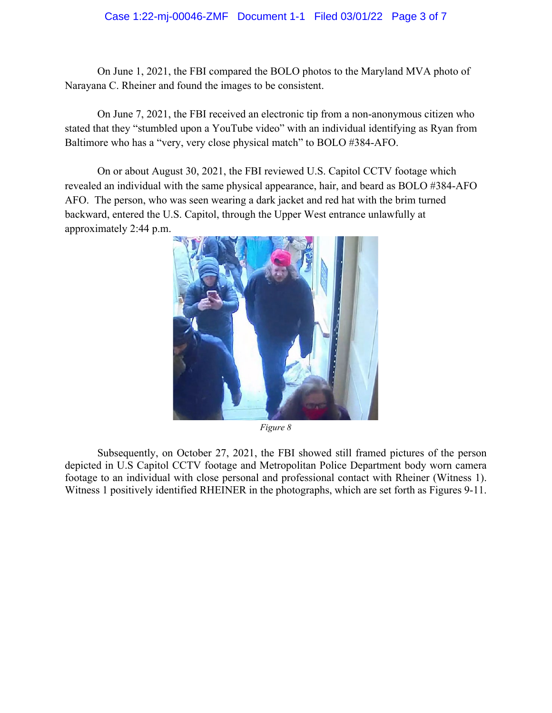## Case 1:22-mj-00046-ZMF Document 1-1 Filed 03/01/22 Page 3 of 7

On June 1, 2021, the FBI compared the BOLO photos to the Maryland MVA photo of Narayana C. Rheiner and found the images to be consistent.

On June 7, 2021, the FBI received an electronic tip from a non-anonymous citizen who stated that they "stumbled upon a YouTube video" with an individual identifying as Ryan from Baltimore who has a "very, very close physical match" to BOLO #384-AFO.

On or about August 30, 2021, the FBI reviewed U.S. Capitol CCTV footage which revealed an individual with the same physical appearance, hair, and beard as BOLO #384-AFO AFO. The person, who was seen wearing a dark jacket and red hat with the brim turned backward, entered the U.S. Capitol, through the Upper West entrance unlawfully at approximately 2:44 p.m.



*Figure 8*

Subsequently, on October 27, 2021, the FBI showed still framed pictures of the person depicted in U.S Capitol CCTV footage and Metropolitan Police Department body worn camera footage to an individual with close personal and professional contact with Rheiner (Witness 1). Witness 1 positively identified RHEINER in the photographs, which are set forth as Figures 9-11.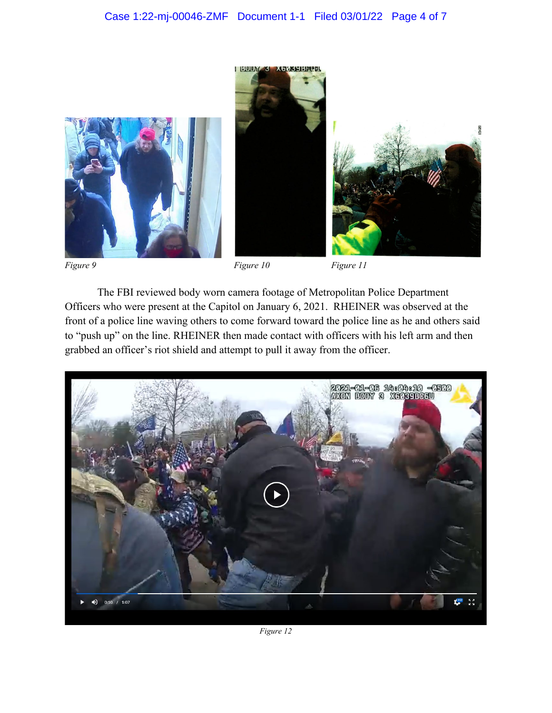**BOUNGS XODSSERFEEL** 







*Figure 9 Figure 10 Figure 11*

The FBI reviewed body worn camera footage of Metropolitan Police Department Officers who were present at the Capitol on January 6, 2021. RHEINER was observed at the front of a police line waving others to come forward toward the police line as he and others said to "push up" on the line. RHEINER then made contact with officers with his left arm and then grabbed an officer's riot shield and attempt to pull it away from the officer.



*Figure 12*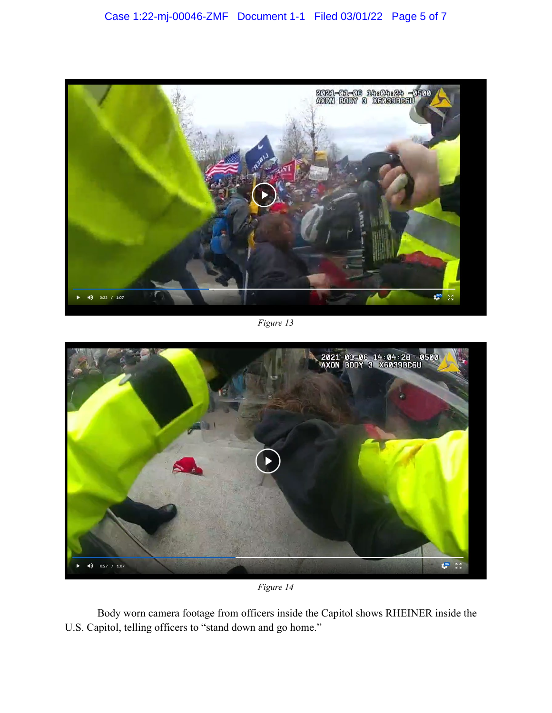

*Figure 13*



*Figure 14*

Body worn camera footage from officers inside the Capitol shows RHEINER inside the U.S. Capitol, telling officers to "stand down and go home."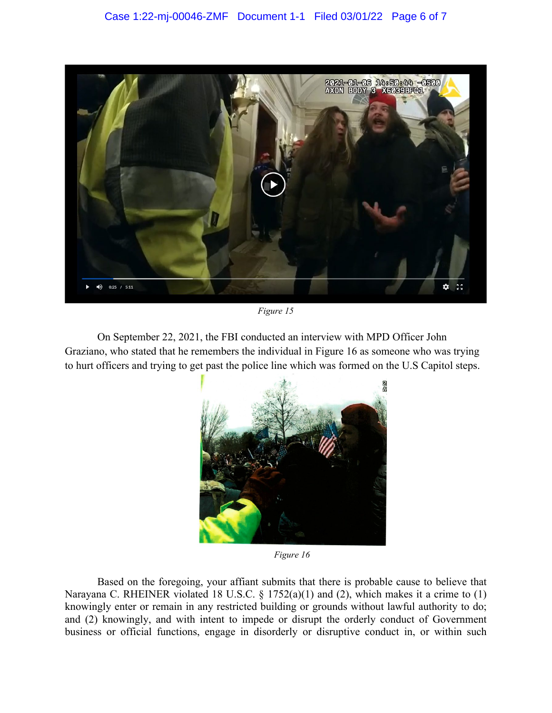

*Figure 15*

On September 22, 2021, the FBI conducted an interview with MPD Officer John Graziano, who stated that he remembers the individual in Figure 16 as someone who was trying to hurt officers and trying to get past the police line which was formed on the U.S Capitol steps.



*Figure 16*

Based on the foregoing, your affiant submits that there is probable cause to believe that Narayana C. RHEINER violated 18 U.S.C. § 1752(a)(1) and (2), which makes it a crime to (1) knowingly enter or remain in any restricted building or grounds without lawful authority to do; and (2) knowingly, and with intent to impede or disrupt the orderly conduct of Government business or official functions, engage in disorderly or disruptive conduct in, or within such